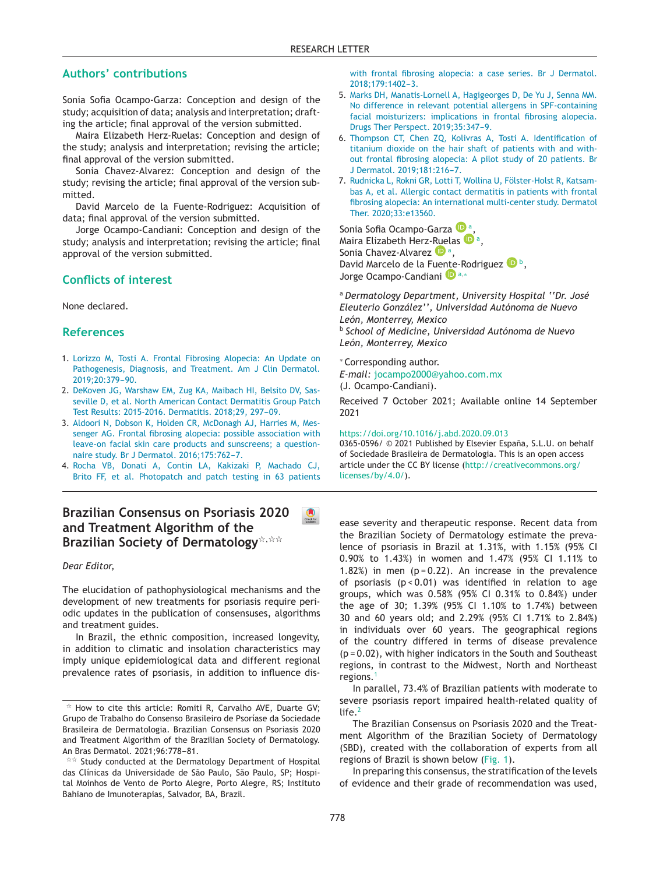### **Authors' contributions**

Sonia Sofia Ocampo-Garza: Conception and design of the study; acquisition of data; analysis and interpretation; drafting the article; final approval of the version submitted.

Maira Elizabeth Herz-Ruelas: Conception and design of the study; analysis and interpretation; revising the [article;](http://www.abd.org) final approval of the version submitted.

Sonia Chavez-Alvarez: Conception and design of the study; revising the article; final approval of the version submitted.

David Marcelo de la Fuente-Rodriguez: Acquisition of data; final approval of the version submitted.

Jorge Ocampo-Candiani: Conception and design of the study; analysis and interpretation; revising the article; final approval of the version submitted.

### **Conflicts of interest**

None declared.

#### **References**

- 1. [Lorizzo](http://refhub.elsevier.com/S0365-0596(19)30001-7/sbref0005) [M,](http://refhub.elsevier.com/S0365-0596(19)30001-7/sbref0005) [Tosti](http://refhub.elsevier.com/S0365-0596(19)30001-7/sbref0005) [A.](http://refhub.elsevier.com/S0365-0596(19)30001-7/sbref0005) [Frontal](http://refhub.elsevier.com/S0365-0596(19)30001-7/sbref0005) [Fibrosing](http://refhub.elsevier.com/S0365-0596(19)30001-7/sbref0005) [Alopecia:](http://refhub.elsevier.com/S0365-0596(19)30001-7/sbref0005) [An](http://refhub.elsevier.com/S0365-0596(19)30001-7/sbref0005) [Update](http://refhub.elsevier.com/S0365-0596(19)30001-7/sbref0005) [on](http://refhub.elsevier.com/S0365-0596(19)30001-7/sbref0005) [Pathogenesis,](http://refhub.elsevier.com/S0365-0596(19)30001-7/sbref0005) [Diagnosis,](http://refhub.elsevier.com/S0365-0596(19)30001-7/sbref0005) [and](http://refhub.elsevier.com/S0365-0596(19)30001-7/sbref0005) [Treatment.](http://refhub.elsevier.com/S0365-0596(19)30001-7/sbref0005) [Am](http://refhub.elsevier.com/S0365-0596(19)30001-7/sbref0005) [J](http://refhub.elsevier.com/S0365-0596(19)30001-7/sbref0005) [Clin](http://refhub.elsevier.com/S0365-0596(19)30001-7/sbref0005) [Dermatol.](http://refhub.elsevier.com/S0365-0596(19)30001-7/sbref0005) 2019;20:379-90.
- 2. [DeKoven](http://refhub.elsevier.com/S0365-0596(19)30001-7/sbref0010) [JG,](http://refhub.elsevier.com/S0365-0596(19)30001-7/sbref0010) [Warshaw](http://refhub.elsevier.com/S0365-0596(19)30001-7/sbref0010) [EM,](http://refhub.elsevier.com/S0365-0596(19)30001-7/sbref0010) [Zug](http://refhub.elsevier.com/S0365-0596(19)30001-7/sbref0010) [KA,](http://refhub.elsevier.com/S0365-0596(19)30001-7/sbref0010) [Maibach](http://refhub.elsevier.com/S0365-0596(19)30001-7/sbref0010) [HI,](http://refhub.elsevier.com/S0365-0596(19)30001-7/sbref0010) [Belsito](http://refhub.elsevier.com/S0365-0596(19)30001-7/sbref0010) [DV,](http://refhub.elsevier.com/S0365-0596(19)30001-7/sbref0010) [Sas](http://refhub.elsevier.com/S0365-0596(19)30001-7/sbref0010)[seville](http://refhub.elsevier.com/S0365-0596(19)30001-7/sbref0010) [D,](http://refhub.elsevier.com/S0365-0596(19)30001-7/sbref0010) [et](http://refhub.elsevier.com/S0365-0596(19)30001-7/sbref0010) [al.](http://refhub.elsevier.com/S0365-0596(19)30001-7/sbref0010) [North](http://refhub.elsevier.com/S0365-0596(19)30001-7/sbref0010) [American](http://refhub.elsevier.com/S0365-0596(19)30001-7/sbref0010) [Contact](http://refhub.elsevier.com/S0365-0596(19)30001-7/sbref0010) [Dermatitis](http://refhub.elsevier.com/S0365-0596(19)30001-7/sbref0010) [Group](http://refhub.elsevier.com/S0365-0596(19)30001-7/sbref0010) [Patch](http://refhub.elsevier.com/S0365-0596(19)30001-7/sbref0010) [Test](http://refhub.elsevier.com/S0365-0596(19)30001-7/sbref0010) [Results:](http://refhub.elsevier.com/S0365-0596(19)30001-7/sbref0010) [2015-2016.](http://refhub.elsevier.com/S0365-0596(19)30001-7/sbref0010) [Dermatitis.](http://refhub.elsevier.com/S0365-0596(19)30001-7/sbref0010) [2018;29,](http://refhub.elsevier.com/S0365-0596(19)30001-7/sbref0010) 297-09.
- 3. [Aldoori](http://refhub.elsevier.com/S0365-0596(19)30001-7/sbref0015) [N,](http://refhub.elsevier.com/S0365-0596(19)30001-7/sbref0015) [Dobson](http://refhub.elsevier.com/S0365-0596(19)30001-7/sbref0015) [K,](http://refhub.elsevier.com/S0365-0596(19)30001-7/sbref0015) [Holden](http://refhub.elsevier.com/S0365-0596(19)30001-7/sbref0015) [CR,](http://refhub.elsevier.com/S0365-0596(19)30001-7/sbref0015) [McDonagh](http://refhub.elsevier.com/S0365-0596(19)30001-7/sbref0015) [AJ,](http://refhub.elsevier.com/S0365-0596(19)30001-7/sbref0015) [Harries](http://refhub.elsevier.com/S0365-0596(19)30001-7/sbref0015) [M,](http://refhub.elsevier.com/S0365-0596(19)30001-7/sbref0015) [Mes](http://refhub.elsevier.com/S0365-0596(19)30001-7/sbref0015)[senger](http://refhub.elsevier.com/S0365-0596(19)30001-7/sbref0015) [AG.](http://refhub.elsevier.com/S0365-0596(19)30001-7/sbref0015) [Frontal](http://refhub.elsevier.com/S0365-0596(19)30001-7/sbref0015) [fibrosing](http://refhub.elsevier.com/S0365-0596(19)30001-7/sbref0015) [alopecia:](http://refhub.elsevier.com/S0365-0596(19)30001-7/sbref0015) [possible](http://refhub.elsevier.com/S0365-0596(19)30001-7/sbref0015) [association](http://refhub.elsevier.com/S0365-0596(19)30001-7/sbref0015) [with](http://refhub.elsevier.com/S0365-0596(19)30001-7/sbref0015) [leave-on](http://refhub.elsevier.com/S0365-0596(19)30001-7/sbref0015) [facial](http://refhub.elsevier.com/S0365-0596(19)30001-7/sbref0015) [skin](http://refhub.elsevier.com/S0365-0596(19)30001-7/sbref0015) [care](http://refhub.elsevier.com/S0365-0596(19)30001-7/sbref0015) [products](http://refhub.elsevier.com/S0365-0596(19)30001-7/sbref0015) [and](http://refhub.elsevier.com/S0365-0596(19)30001-7/sbref0015) [sunscreens;](http://refhub.elsevier.com/S0365-0596(19)30001-7/sbref0015) [a](http://refhub.elsevier.com/S0365-0596(19)30001-7/sbref0015) [question](http://refhub.elsevier.com/S0365-0596(19)30001-7/sbref0015)[naire](http://refhub.elsevier.com/S0365-0596(19)30001-7/sbref0015) [study.](http://refhub.elsevier.com/S0365-0596(19)30001-7/sbref0015) [Br](http://refhub.elsevier.com/S0365-0596(19)30001-7/sbref0015) [J](http://refhub.elsevier.com/S0365-0596(19)30001-7/sbref0015) [Dermatol.](http://refhub.elsevier.com/S0365-0596(19)30001-7/sbref0015) 2016:175:762-[7.](http://refhub.elsevier.com/S0365-0596(19)30001-7/sbref0015)
- 4. [Rocha](http://refhub.elsevier.com/S0365-0596(19)30001-7/sbref0020) [VB,](http://refhub.elsevier.com/S0365-0596(19)30001-7/sbref0020) [Donati](http://refhub.elsevier.com/S0365-0596(19)30001-7/sbref0020) [A,](http://refhub.elsevier.com/S0365-0596(19)30001-7/sbref0020) [Contin](http://refhub.elsevier.com/S0365-0596(19)30001-7/sbref0020) [LA,](http://refhub.elsevier.com/S0365-0596(19)30001-7/sbref0020) [Kakizaki](http://refhub.elsevier.com/S0365-0596(19)30001-7/sbref0020) [P,](http://refhub.elsevier.com/S0365-0596(19)30001-7/sbref0020) [Machado](http://refhub.elsevier.com/S0365-0596(19)30001-7/sbref0020) [CJ,](http://refhub.elsevier.com/S0365-0596(19)30001-7/sbref0020) [Brito](http://refhub.elsevier.com/S0365-0596(19)30001-7/sbref0020) [FF,](http://refhub.elsevier.com/S0365-0596(19)30001-7/sbref0020) [et](http://refhub.elsevier.com/S0365-0596(19)30001-7/sbref0020) [al.](http://refhub.elsevier.com/S0365-0596(19)30001-7/sbref0020) [Photopatch](http://refhub.elsevier.com/S0365-0596(19)30001-7/sbref0020) [and](http://refhub.elsevier.com/S0365-0596(19)30001-7/sbref0020) [patch](http://refhub.elsevier.com/S0365-0596(19)30001-7/sbref0020) [testing](http://refhub.elsevier.com/S0365-0596(19)30001-7/sbref0020) [in](http://refhub.elsevier.com/S0365-0596(19)30001-7/sbref0020) [63](http://refhub.elsevier.com/S0365-0596(19)30001-7/sbref0020) [patients](http://refhub.elsevier.com/S0365-0596(19)30001-7/sbref0020)

# **Br[azilian](http://refhub.elsevier.com/S0365-0596(19)30001-7/sbref0015) [Consensus](http://refhub.elsevier.com/S0365-0596(19)30001-7/sbref0015) [on](http://refhub.elsevier.com/S0365-0596(19)30001-7/sbref0015) [Psoriasis](http://refhub.elsevier.com/S0365-0596(19)30001-7/sbref0015) [2020](http://refhub.elsevier.com/S0365-0596(19)30001-7/sbref0015) and [Treatment](http://refhub.elsevier.com/S0365-0596(19)30001-7/sbref0015) [Algorithm](http://refhub.elsevier.com/S0365-0596(19)30001-7/sbref0015) [of](http://refhub.elsevier.com/S0365-0596(19)30001-7/sbref0015) [the](http://refhub.elsevier.com/S0365-0596(19)30001-7/sbref0015)**  $\blacksquare$ Brazilian Society of Dermatology $^{\ntriangle,\ntriangle\infty}$

*Dear Editor,*

The elucidation of pathophysiological mechanisms and the development of new treatments for psoriasis require periodic updates in the publication of consensuses, algorithms and treatment guides.

In Brazil, the ethnic composition, increased longevity, in addition to climatic and insolation characteristics may imply unique epidemiological data and different regional prevalence rates of psoriasis, in addition to influence dis[with](http://refhub.elsevier.com/S0365-0596(19)30001-7/sbref0020) [frontal](http://refhub.elsevier.com/S0365-0596(19)30001-7/sbref0020) [fibrosing](http://refhub.elsevier.com/S0365-0596(19)30001-7/sbref0020) [alopecia:](http://refhub.elsevier.com/S0365-0596(19)30001-7/sbref0020) [a](http://refhub.elsevier.com/S0365-0596(19)30001-7/sbref0020) [case](http://refhub.elsevier.com/S0365-0596(19)30001-7/sbref0020) [series.](http://refhub.elsevier.com/S0365-0596(19)30001-7/sbref0020) [Br](http://refhub.elsevier.com/S0365-0596(19)30001-7/sbref0020) [J](http://refhub.elsevier.com/S0365-0596(19)30001-7/sbref0020) [Dermatol.](http://refhub.elsevier.com/S0365-0596(19)30001-7/sbref0020) 2018:179:1402-3.

- 5. [Marks](http://refhub.elsevier.com/S0365-0596(19)30001-7/sbref0025) [DH,](http://refhub.elsevier.com/S0365-0596(19)30001-7/sbref0025) [Manatis-Lornell](http://refhub.elsevier.com/S0365-0596(19)30001-7/sbref0025) [A,](http://refhub.elsevier.com/S0365-0596(19)30001-7/sbref0025) [Hagigeorges](http://refhub.elsevier.com/S0365-0596(19)30001-7/sbref0025) [D,](http://refhub.elsevier.com/S0365-0596(19)30001-7/sbref0025) [De](http://refhub.elsevier.com/S0365-0596(19)30001-7/sbref0025) [Yu](http://refhub.elsevier.com/S0365-0596(19)30001-7/sbref0025) [J,](http://refhub.elsevier.com/S0365-0596(19)30001-7/sbref0025) [Senna](http://refhub.elsevier.com/S0365-0596(19)30001-7/sbref0025) [MM.](http://refhub.elsevier.com/S0365-0596(19)30001-7/sbref0025) [No](http://refhub.elsevier.com/S0365-0596(19)30001-7/sbref0025) [difference](http://refhub.elsevier.com/S0365-0596(19)30001-7/sbref0025) [in](http://refhub.elsevier.com/S0365-0596(19)30001-7/sbref0025) [relevant](http://refhub.elsevier.com/S0365-0596(19)30001-7/sbref0025) [potential](http://refhub.elsevier.com/S0365-0596(19)30001-7/sbref0025) [allergens](http://refhub.elsevier.com/S0365-0596(19)30001-7/sbref0025) [in](http://refhub.elsevier.com/S0365-0596(19)30001-7/sbref0025) [SPF-containing](http://refhub.elsevier.com/S0365-0596(19)30001-7/sbref0025) [facial](http://refhub.elsevier.com/S0365-0596(19)30001-7/sbref0025) [moisturizers:](http://refhub.elsevier.com/S0365-0596(19)30001-7/sbref0025) [implications](http://refhub.elsevier.com/S0365-0596(19)30001-7/sbref0025) [in](http://refhub.elsevier.com/S0365-0596(19)30001-7/sbref0025) [frontal](http://refhub.elsevier.com/S0365-0596(19)30001-7/sbref0025) [fibrosing](http://refhub.elsevier.com/S0365-0596(19)30001-7/sbref0025) [alopecia.](http://refhub.elsevier.com/S0365-0596(19)30001-7/sbref0025) [Drugs](http://refhub.elsevier.com/S0365-0596(19)30001-7/sbref0025) [Ther](http://refhub.elsevier.com/S0365-0596(19)30001-7/sbref0030) [Pe](http://refhub.elsevier.com/S0365-0596(19)30001-7/sbref0030)[rs](http://refhub.elsevier.com/S0365-0596(19)30001-7/sbref0025)[pect.](http://refhub.elsevier.com/S0365-0596(19)30001-7/sbref0030) [2019;35:](http://refhub.elsevier.com/S0365-0596(19)30001-7/sbref0025)347-9.
- 6. [Thompson](http://refhub.elsevier.com/S0365-0596(19)30001-7/sbref0030) [CT,](http://refhub.elsevier.com/S0365-0596(19)30001-7/sbref0030) [Chen](http://refhub.elsevier.com/S0365-0596(19)30001-7/sbref0030) [ZQ,](http://refhub.elsevier.com/S0365-0596(19)30001-7/sbref0030) [Kolivras](http://refhub.elsevier.com/S0365-0596(19)30001-7/sbref0030) [A,](http://refhub.elsevier.com/S0365-0596(19)30001-7/sbref0030) [Tosti](http://refhub.elsevier.com/S0365-0596(19)30001-7/sbref0030) [A.](http://refhub.elsevier.com/S0365-0596(19)30001-7/sbref0030) [Identification](http://refhub.elsevier.com/S0365-0596(19)30001-7/sbref0030) [of](http://refhub.elsevier.com/S0365-0596(19)30001-7/sbref0030) [titanium](http://refhub.elsevier.com/S0365-0596(19)30001-7/sbref0030) [dioxide](http://refhub.elsevier.com/S0365-0596(19)30001-7/sbref0030) [on](http://refhub.elsevier.com/S0365-0596(19)30001-7/sbref0030) [the](http://refhub.elsevier.com/S0365-0596(19)30001-7/sbref0030) [hair](http://refhub.elsevier.com/S0365-0596(19)30001-7/sbref0030) [shaft](http://refhub.elsevier.com/S0365-0596(19)30001-7/sbref0030) [of](http://refhub.elsevier.com/S0365-0596(19)30001-7/sbref0030) [patients](http://refhub.elsevier.com/S0365-0596(19)30001-7/sbref0030) [with](http://refhub.elsevier.com/S0365-0596(19)30001-7/sbref0030) [and](http://refhub.elsevier.com/S0365-0596(19)30001-7/sbref0030) [with](http://refhub.elsevier.com/S0365-0596(19)30001-7/sbref0030)[out](http://refhub.elsevier.com/S0365-0596(19)30001-7/sbref0030) [fronta](http://refhub.elsevier.com/S0365-0596(19)30001-7/sbref0035)[l](http://refhub.elsevier.com/S0365-0596(19)30001-7/sbref0030) [fi](http://refhub.elsevier.com/S0365-0596(19)30001-7/sbref0035)[brosin](http://refhub.elsevier.com/S0365-0596(19)30001-7/sbref0030)[g](http://refhub.elsevier.com/S0365-0596(19)30001-7/sbref0035) [a](http://refhub.elsevier.com/S0365-0596(19)30001-7/sbref0030)[l](http://refhub.elsevier.com/S0365-0596(19)30001-7/sbref0035)[opecia](http://refhub.elsevier.com/S0365-0596(19)30001-7/sbref0030)[:](http://refhub.elsevier.com/S0365-0596(19)30001-7/sbref0035) [A](http://refhub.elsevier.com/S0365-0596(19)30001-7/sbref0030) [pilot](http://refhub.elsevier.com/S0365-0596(19)30001-7/sbref0030) [study](http://refhub.elsevier.com/S0365-0596(19)30001-7/sbref0030) [of](http://refhub.elsevier.com/S0365-0596(19)30001-7/sbref0030) [20](http://refhub.elsevier.com/S0365-0596(19)30001-7/sbref0030) [patients.](http://refhub.elsevier.com/S0365-0596(19)30001-7/sbref0035) [Br](http://refhub.elsevier.com/S0365-0596(19)30001-7/sbref0030) [J](http://refhub.elsevier.com/S0365-0596(19)30001-7/sbref0030) [Derm](http://refhub.elsevier.com/S0365-0596(19)30001-7/sbref0035)[atol.](http://refhub.elsevier.com/S0365-0596(19)30001-7/sbref0030) [2019;181:216](http://refhub.elsevier.com/S0365-0596(19)30001-7/sbref0030)-7.
- 7. [Rudnicka](http://refhub.elsevier.com/S0365-0596(19)30001-7/sbref0035) [L,](http://refhub.elsevier.com/S0365-0596(19)30001-7/sbref0035) [Rokni](http://refhub.elsevier.com/S0365-0596(19)30001-7/sbref0035) [GR,](http://refhub.elsevier.com/S0365-0596(19)30001-7/sbref0035) [Lotti](http://refhub.elsevier.com/S0365-0596(19)30001-7/sbref0035) [T,](http://refhub.elsevier.com/S0365-0596(19)30001-7/sbref0035) [Wollina](http://refhub.elsevier.com/S0365-0596(19)30001-7/sbref0035) [U,](http://refhub.elsevier.com/S0365-0596(19)30001-7/sbref0035) [Fölster-Holst](http://refhub.elsevier.com/S0365-0596(19)30001-7/sbref0035) [R,](http://refhub.elsevier.com/S0365-0596(19)30001-7/sbref0035) [Katsam](http://refhub.elsevier.com/S0365-0596(19)30001-7/sbref0035)[bas](http://refhub.elsevier.com/S0365-0596(19)30001-7/sbref0035) [A,](http://refhub.elsevier.com/S0365-0596(19)30001-7/sbref0035) [et](http://refhub.elsevier.com/S0365-0596(19)30001-7/sbref0035) [al.](http://refhub.elsevier.com/S0365-0596(19)30001-7/sbref0035) [Allergic](http://refhub.elsevier.com/S0365-0596(19)30001-7/sbref0035) [contact](http://refhub.elsevier.com/S0365-0596(19)30001-7/sbref0035) [dermatitis](http://refhub.elsevier.com/S0365-0596(19)30001-7/sbref0035) [in](http://refhub.elsevier.com/S0365-0596(19)30001-7/sbref0035) [patients](http://refhub.elsevier.com/S0365-0596(19)30001-7/sbref0035) [with](http://refhub.elsevier.com/S0365-0596(19)30001-7/sbref0035) [frontal](http://refhub.elsevier.com/S0365-0596(19)30001-7/sbref0035) [fibrosing](http://refhub.elsevier.com/S0365-0596(19)30001-7/sbref0035) [alopecia:](http://refhub.elsevier.com/S0365-0596(19)30001-7/sbref0035) [An](http://refhub.elsevier.com/S0365-0596(19)30001-7/sbref0035) [international](http://refhub.elsevier.com/S0365-0596(19)30001-7/sbref0035) [multi-center](http://refhub.elsevier.com/S0365-0596(19)30001-7/sbref0035) [study.](http://refhub.elsevier.com/S0365-0596(19)30001-7/sbref0035) [Dermatol](http://refhub.elsevier.com/S0365-0596(19)30001-7/sbref0035) [Ther.](http://refhub.elsevier.com/S0365-0596(19)30001-7/sbref0035) [2020;33:e13560.](http://refhub.elsevier.com/S0365-0596(19)30001-7/sbref0035)

Sonia Sofia [Ocampo-Garza](http://www.anvisa.gov.br/legis) <sup>Da</sup>[,](https://orcid.org/0000-0001-6299-1821) Mai[ra](http://refhub.elsevier.com/S0365-0596(19)30001-7/sbref0040) [Elizabet](http://refhub.elsevier.com/S0365-0596(19)30001-7/sbref0040)h [Herz-R](http://refhub.elsevier.com/S0365-0596(19)30001-7/sbref0040)[u](https://orcid.org/0000-0003-1637-7956)[elas](http://refhub.elsevier.com/S0365-0596(19)30001-7/sbref0040)  $\mathbb{D}^{\mathsf{a}}$ , Sonia [Chavez-A](http://refhub.elsevier.com/S0365-0596(19)30001-7/sbref0040)l[va](http://refhub.elsevier.com/S0365-0596(19)30001-7/sbref0040)r[ez](http://refhub.elsevier.com/S0365-0596(19)30001-7/sbref0040)  $\mathbf{D}^{\mathrm{a}}$ [,](http://refhub.elsevier.com/S0365-0596(19)30001-7/sbref0040) Da[vid](http://refhub.elsevier.com/S0365-0596(19)30001-7/sbref0040) [Marcelo](http://refhub.elsevier.com/S0365-0596(19)30001-7/sbref0040) de la F[uente-Rodriguez](http://refhub.elsevier.com/S0365-0596(19)30001-7/sbref0040)  $\mathbf{D}^b$ , Jorge [Ocampo-Can](http://refhub.elsevier.com/S0365-0596(19)30001-7/sbref0040)diani <sup>1</sup>

<sup>a</sup> *Dermatology D[epar](https://orcid.org/0000-0002-4893-3593)tment, University Hospital ''Dr. José Eleuterio González'', U[nive](https://orcid.org/0000-0002-2272-7361)rsidad [Autó](https://orcid.org/0000-0001-8322-3856)noma de Nu[evo](https://orcid.org/0000-0002-9068-3225) León, Monterrey, Mexico* <sup>b</sup> *School of Medicine, [Unive](https://orcid.org/0000-0002-6408-064X)rsidad Autónoma de N[uevo](https://orcid.org/0000-0002-5710-3612) León, Monterrey, Mexico*

<sup>∗</sup> Corresponding author.

*E-mail:* [jocampo2000@yahoo.com.mx](mailto:jocampo2000@yahoo.com.mx)

(J. Ocampo-Candiani).

Received 7 October 2021; Available online 14 September 2021

#### <https://doi.org/10.1016/j.abd.2020.09.013>

0365-0596/ © 2021 Published by Elsevier España, S.L.U. on behalf of Sociedade Brasileira de Dermatologia. This is an open access article under the CC BY license [\(http://creativecommons.org/](http://creativecommons.org/licenses/by/4.0/) [licenses/by/4.0/\)](http://creativecommons.org/licenses/by/4.0/).

[ease](http://creativecommons.org/licenses/by/4.0/) [se](http://creativecommons.org/licenses/by/4.0/)verity and the[rapeuti](http://creativecommons.org/licenses/by/4.0/)c [response.](http://creativecommons.org/licenses/by/4.0/) Rec[ent](http://creativecommons.org/licenses/by/4.0/) [data](http://creativecommons.org/licenses/by/4.0/) from the Brazilian Society of Dermatology estimate the prevalence of psoriasis in Brazil at 1.31%, with 1.15% (95% CI 0.90% to 1.43%) in women and 1.47% (95% CI 1.11% to 1.82%) in men ( $p = 0.22$ ). An increase in the prevalence of psoriasis (p < 0.01) was identified in relation to age groups, which was 0.58% (95% CI 0.31% to 0.84%) under the age of 30; 1.39% (95% CI 1.10% to 1.74%) between 30 and 60 years old; and 2.29% (95% CI 1.71% to 2.84%) in individuals over 60 years. The geographical regions of the country differed in terms of disease prevalence (p = 0.02), with higher indicators in the South and Southeast regions, in contrast to the Midwest, North and Northeast regions.<sup>[1](#page-3-0)</sup>

In parallel, 73.4% of Brazilian patients with moderate to severe psoriasis report impaired health-related quality of life.[2](#page-3-0)

The Brazilian Consensus on Psoriasis 2020 and the Treatment Algorithm of the Brazilian Society of Dermatology (SBD), created with the collaboration of experts from all regions of Brazil is shown below ([Fig.](#page-1-0) 1).

In preparing this consensus, the stratification of the levels of evidence and their grade of recommendation was used,

 $\bigcirc$ 

 $\overline{\mathsf{a}}$  How to cite this article: Romiti R, Carvalho AVE, Duarte GV; Grupo de Trabalho do Consenso Brasileiro de Psoríase da Sociedade Brasileira de Dermatologia. Brazilian Consensus on Psoriasis 2020 and Treatment Algorithm of the Brazilian Society of Dermatology. An Bras Dermatol. 2021;96:778-81.

 $\overline{\mathbb{X}}$  Study conducted at the Dermatology Department of Hospital das Clínicas da Universidade de São Paulo, São Paulo, SP; Hospital Moinhos de Vento de Porto Alegre, Porto Alegre, RS; Instituto Bahiano de Imunoterapias, Salvador, BA, Brazil.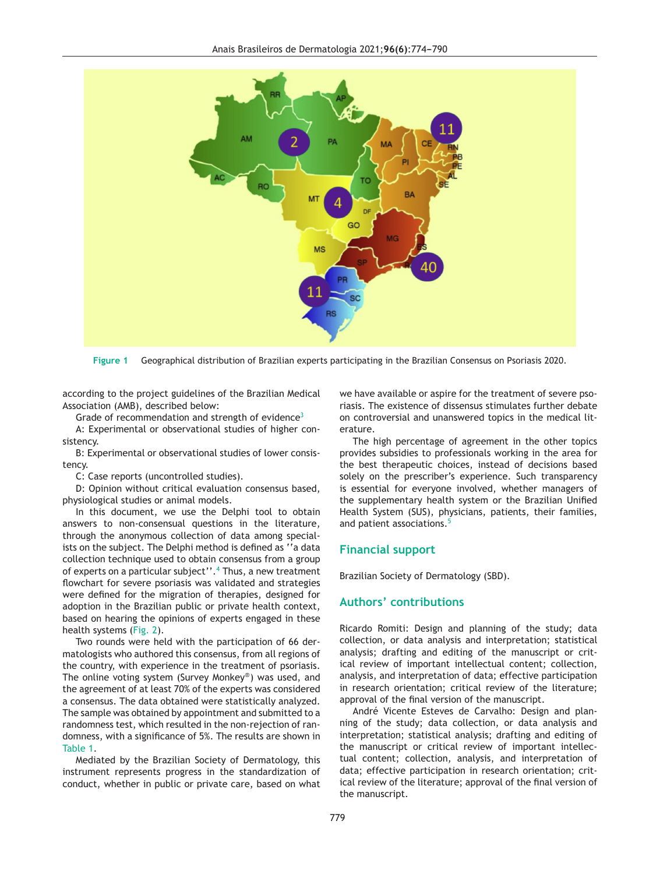<span id="page-1-0"></span>

**Figure 1** Geographical distribution of Brazilian experts participating in the Brazilian Consensus on Psoriasis 2020.

according to the project guidelines of the Brazilian Medical Association (AMB), described below:

Grade of recommendation and strength of evidence<sup>[3](#page-3-0)</sup>

A: Experimental or observational studies of higher consistency.

B: Experimental or observational studies of lower consistency.

C: Case reports (uncontrolled studies).

D: Opinion without critical evaluation consensus based, physiological studies or animal models.

In this document, we use the Delphi tool to obtain answers to non-consensual questions in the literature, through the anonymous collection of data among specialists on the subject. The Delphi method is defined as ''a data collection technique used to obtain consensus from a group of experts on a particular subject''.<sup>4</sup> [T](#page-3-0)hus, a new treatment flowchart for severe psoriasis was validated and strategies were defined for the migration of therapies, designed for adoption in the Brazilian public or private health context, based on hearing the opinions of experts engaged in these health systems [\(Fig.](#page-2-0) 2).

Two rounds were held with the participation of 66 dermatologists who authored this consensus, from all regions of the country, with experience in the treatment of psoriasis. The online voting system (Survey Monkey®) was used, and the agreement of at least 70% of the experts was considered a consensus. The data obtained were statistically analyzed. The sample was obtained by appointment and submitted to a randomness test, which resulted in the non-rejection of randomness, with a significance of 5%. The results are shown in [Table](#page-2-0) 1.

Mediated by the Brazilian Society of Dermatology, this instrument represents progress in the standardization of conduct, whether in public or private care, based on what we have available or aspire for the treatment of severe psoriasis. The existence of dissensus stimulates further debate on controversial and unanswered topics in the medical literature.

The high percentage of agreement in the other topics provides subsidies to professionals working in the area for the best therapeutic choices, instead of decisions based solely on the prescriber's experience. Such transparency is essential for everyone involved, whether managers of the supplementary health system or the Brazilian Unified Health System (SUS), physicians, patients, their families, and patient associations.<sup>[5](#page-3-0)</sup>

### **Financial support**

Brazilian Society of Dermatology (SBD).

### **Authors' contributions**

Ricardo Romiti: Design and planning of the study; data collection, or data analysis and interpretation; statistical analysis; drafting and editing of the manuscript or critical review of important intellectual content; collection, analysis, and interpretation of data; effective participation in research orientation; critical review of the literature; approval of the final version of the manuscript.

André Vicente Esteves de Carvalho: Design and planning of the study; data collection, or data analysis and interpretation; statistical analysis; drafting and editing of the manuscript or critical review of important intellectual content; collection, analysis, and interpretation of data; effective participation in research orientation; critical review of the literature; approval of the final version of the manuscript.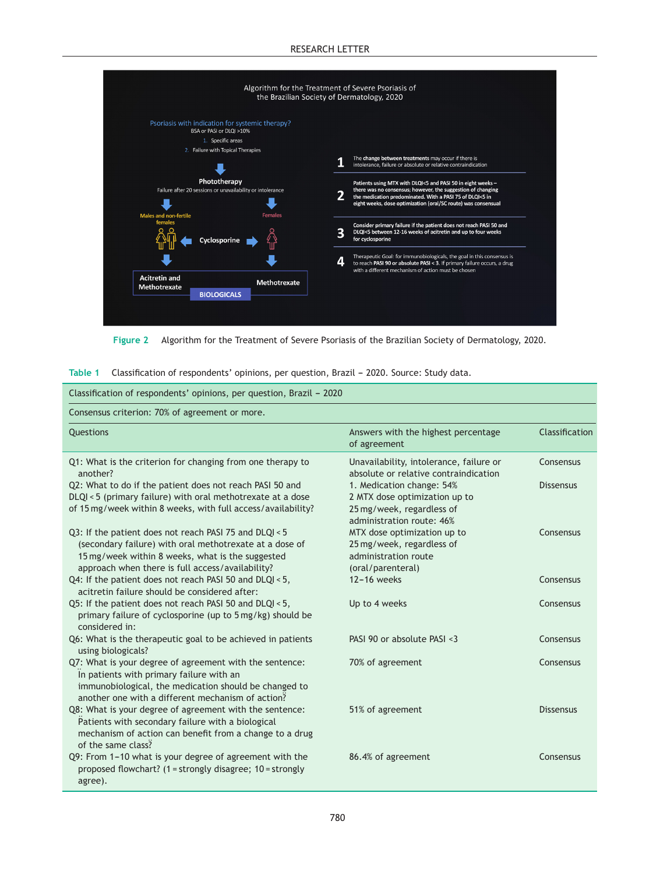#### RESEARCH LETTER

<span id="page-2-0"></span>

**Figure 2** Algorithm for the Treatment of Severe Psoriasis of the Brazilian Society of Dermatology, 2020.

|  | Table 1 Classification of respondents' opinions, per question, Brazil - 2020. Source: Study data. |  |  |  |  |
|--|---------------------------------------------------------------------------------------------------|--|--|--|--|
|--|---------------------------------------------------------------------------------------------------|--|--|--|--|

| Classification of respondents' opinions, per question, Brazil - 2020                                                                                                                                                      |                                                                                                                      |                  |  |  |  |  |
|---------------------------------------------------------------------------------------------------------------------------------------------------------------------------------------------------------------------------|----------------------------------------------------------------------------------------------------------------------|------------------|--|--|--|--|
| Consensus criterion: 70% of agreement or more.                                                                                                                                                                            |                                                                                                                      |                  |  |  |  |  |
| <b>Ouestions</b>                                                                                                                                                                                                          | Answers with the highest percentage<br>of agreement                                                                  | Classification   |  |  |  |  |
| Q1: What is the criterion for changing from one therapy to<br>another?                                                                                                                                                    | Unavailability, intolerance, failure or<br>absolute or relative contraindication                                     | Consensus        |  |  |  |  |
| Q2: What to do if the patient does not reach PASI 50 and<br>DLQI < 5 (primary failure) with oral methotrexate at a dose<br>of 15 mg/week within 8 weeks, with full access/availability?                                   | 1. Medication change: 54%<br>2 MTX dose optimization up to<br>25 mg/week, regardless of<br>administration route: 46% | <b>Dissensus</b> |  |  |  |  |
| Q3: If the patient does not reach PASI 75 and DLQI < 5<br>(secondary failure) with oral methotrexate at a dose of<br>15 mg/week within 8 weeks, what is the suggested<br>approach when there is full access/availability? | MTX dose optimization up to<br>25 mg/week, regardless of<br>administration route<br>(oral/parenteral)                | Consensus        |  |  |  |  |
| Q4: If the patient does not reach PASI 50 and DLQI < 5,<br>acitretin failure should be considered after:                                                                                                                  | $12 - 16$ weeks                                                                                                      | Consensus        |  |  |  |  |
| Q5: If the patient does not reach PASI 50 and DLQI < 5,<br>primary failure of cyclosporine (up to 5 mg/kg) should be<br>considered in:                                                                                    | Up to 4 weeks                                                                                                        | Consensus        |  |  |  |  |
| Q6: What is the therapeutic goal to be achieved in patients<br>using biologicals?                                                                                                                                         | PASI 90 or absolute PASI <3                                                                                          | Consensus        |  |  |  |  |
| Q7: What is your degree of agreement with the sentence:<br>In patients with primary failure with an<br>immunobiological, the medication should be changed to<br>another one with a different mechanism of action?         | 70% of agreement                                                                                                     | Consensus        |  |  |  |  |
| Q8: What is your degree of agreement with the sentence:<br>Patients with secondary failure with a biological<br>mechanism of action can benefit from a change to a drug<br>of the same class?                             | 51% of agreement                                                                                                     | <b>Dissensus</b> |  |  |  |  |
| Q9: From 1-10 what is your degree of agreement with the<br>proposed flowchart? (1 = strongly disagree; 10 = strongly<br>agree).                                                                                           | 86.4% of agreement                                                                                                   | Consensus        |  |  |  |  |